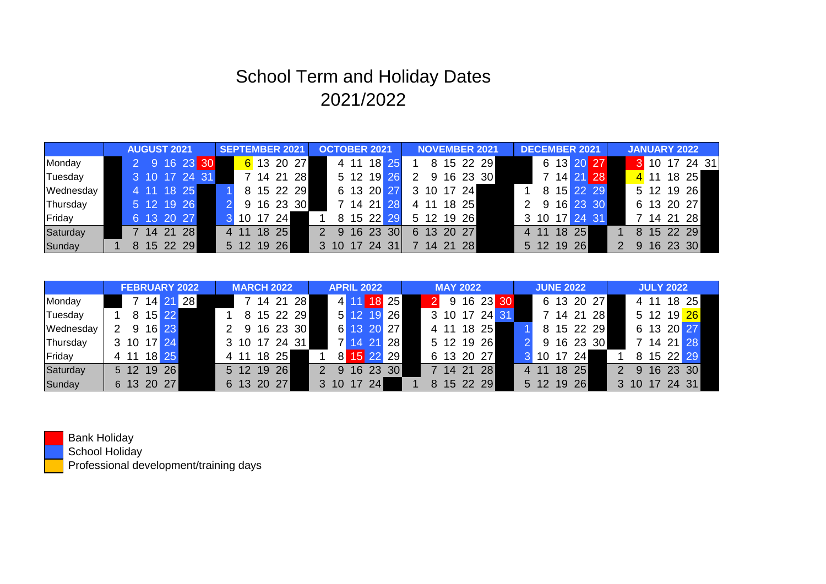|           | <b>AUGUST 2021</b> |  |         |  |               |  | <b>SEPTEMBER 2021</b> |       |    |            |            | <b>OCTOBER 2021</b> |           |      |            |            | <b>NOVEMBER 2021</b> |  |  |            |            |   | <b>DECEMBER 2021</b> |    |    |            | <b>JANUARY 2022</b> |  |            |  |               |  |
|-----------|--------------------|--|---------|--|---------------|--|-----------------------|-------|----|------------|------------|---------------------|-----------|------|------------|------------|----------------------|--|--|------------|------------|---|----------------------|----|----|------------|---------------------|--|------------|--|---------------|--|
| Monday    |                    |  |         |  | 2 9 16 23 30  |  |                       |       |    |            | 6 13 20 27 |                     |           | 4 11 | 18 25      |            |                      |  |  |            | 8 15 22 29 |   |                      |    |    | 6 13 20 27 |                     |  |            |  | 3 10 17 24 31 |  |
| Tuesday   |                    |  |         |  | 3 10 17 24 31 |  |                       |       |    | 7 14 21    | <b>28</b>  |                     |           | 5 12 | <b>19</b>  |            |                      |  |  |            | 9 16 23 30 |   |                      |    |    | 7 14 21 28 |                     |  |            |  | 4 11 18 25    |  |
| Wednesday |                    |  |         |  | 4 11 18 25    |  |                       |       |    |            | 8 15 22 29 |                     |           |      | 6 13 20    |            |                      |  |  | 3 10 17 24 |            |   | 8                    |    |    | 15 22 29   |                     |  |            |  | 5 12 19 26    |  |
| Thursday  |                    |  |         |  | 5 12 19 26    |  |                       |       |    |            | 9 16 23 30 |                     |           |      | 7 14 21    |            |                      |  |  | 4 11 18 25 |            |   | -9                   |    |    | 16 23 30   |                     |  | 6 13 20 27 |  |               |  |
| Friday    |                    |  |         |  | 6 13 20 27    |  |                       | 10 17 |    | <b>241</b> |            |                     |           |      | 8 15 22 29 |            |                      |  |  | 5 12 19 26 |            |   | 3 10 17 24 31        |    |    |            |                     |  | 7 14 21 28 |  |               |  |
| Saturday  |                    |  | 7 14 21 |  | 28            |  |                       |       | 18 | 25         |            |                     | 2 9 16 23 |      |            | <b>301</b> |                      |  |  | 6 13 20 27 |            | 4 | 11                   | 18 | 25 |            |                     |  |            |  | 8 15 22 29    |  |
| Sunday    |                    |  |         |  | 8 15 22 29    |  |                       | 5 12  | 19 | 26         |            |                     | 3 10 17   |      | 24         | 31         |                      |  |  | 14 21 28   |            |   | 5 12 19 26           |    |    |            |                     |  |            |  | 9 16 23 30    |  |

Bank Holiday

School Holiday

Professional development/training days

|           | <b>FEBRUARY 2022</b> |      |  |            |          |  | <b>MARCH 2022</b> |    |               |           |                | <b>APRIL 2022</b> |             |         |            |  | <b>MAY 2022</b> |  |            |  |               |  | <b>JUNE 2022</b> |           |            | <b>JULY 2022</b> |                |  |            |  |
|-----------|----------------------|------|--|------------|----------|--|-------------------|----|---------------|-----------|----------------|-------------------|-------------|---------|------------|--|-----------------|--|------------|--|---------------|--|------------------|-----------|------------|------------------|----------------|--|------------|--|
| Monday    |                      |      |  |            | 14 21 28 |  |                   |    | 7 14 21       | <b>28</b> |                |                   |             |         | 4 11 18 25 |  |                 |  |            |  | 9 16 23 30    |  |                  |           | 6 13 20 27 |                  |                |  | 4 11 18 25 |  |
| Tuesday   |                      |      |  | 8 15 22    |          |  |                   |    | 15 22 29      |           |                |                   | 5 12 19     |         | 26         |  |                 |  |            |  | 3 10 17 24 31 |  |                  |           | 7 14 21 28 |                  |                |  | 5 12 19 26 |  |
| Wednesday |                      | 9    |  | 16 23      |          |  |                   |    | 9 16 23 30    |           |                |                   |             |         | 6 13 20 27 |  |                 |  | 4 11 18 25 |  |               |  |                  |           | 8 15 22 29 |                  |                |  | 6 13 20 27 |  |
| Thursday  |                      |      |  | 3 10 17 24 |          |  |                   |    | 3 10 17 24 31 |           |                |                   | 14 21       |         | <b>28</b>  |  |                 |  | 5 12 19 26 |  |               |  |                  |           | 9 16 23 30 |                  |                |  | 7 14 21 28 |  |
| Friday    |                      | 4 11 |  | 18 25      |          |  |                   | 18 | <b>25</b>     |           |                | 8 <sup>1</sup>    |             | 15 22   | 29         |  |                 |  | 6 13 20 27 |  |               |  | 10 17            | <b>24</b> |            |                  |                |  | 8 15 22 29 |  |
| Saturday  |                      |      |  | 5 12 19 26 |          |  | $5 \t12$          | 19 | 26            |           | $\overline{2}$ |                   |             | 9 16 23 | 30         |  |                 |  | 7 14 21 28 |  |               |  | 4 11             | 18 25     |            |                  | $\overline{9}$ |  | 16 23 30   |  |
| Sunday    |                      |      |  | 6 13 20 27 |          |  |                   |    | 6 13 20 27    |           |                | 3 10              | $\sqrt{17}$ | 24      |            |  |                 |  | 8 15 22 29 |  |               |  | 5 12 19 26       |           |            |                  | 3 10 17 24 31  |  |            |  |



## School Term and Holiday Dates 2021/2022